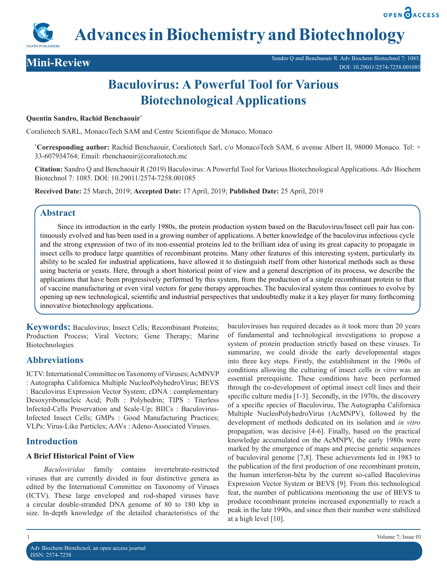**OPEN PACCESS** 

**Advances in Biochemistry and Biotechnology**



# **Baculovirus: A Powerful Tool for Various Biotechnological Applications**

#### **Quentin Sandro, Rachid Benchaouir\***

Coraliotech SARL, MonacoTech SAM and Centre Scientifique de Monaco, Monaco

**\* Corresponding author:** Rachid Benchaouir, Coraliotech Sarl, c/o MonacoTech SAM, 6 avenue Albert II, 98000 Monaco. Tel: + 33-607934764; Email: rbenchaouir@coraliotech.mc

**Citation:** Sandro Q and Benchaouir R (2019) Baculovirus: A Powerful Tool for Various Biotechnological Applications. Adv Biochem Biotechnol 7: 1085. DOI: 10.29011/2574-7258.001085

**Received Date:** 25 March, 2019; **Accepted Date:** 17 April, 2019; **Published Date:** 25 April, 2019

## **Abstract**

Since its introduction in the early 1980s, the protein production system based on the Baculovirus/Insect cell pair has continuously evolved and has been used in a growing number of applications. A better knowledge of the baculovirus infectious cycle and the strong expression of two of its non-essential proteins led to the brilliant idea of using its great capacity to propagate in insect cells to produce large quantities of recombinant proteins. Many other features of this interesting system, particularly its ability to be scaled for industrial applications, have allowed it to distinguish itself from other historical methods such as those using bacteria or yeasts. Here, through a short historical point of view and a general description of its process, we describe the applications that have been progressively performed by this system, from the production of a single recombinant protein to that of vaccine manufacturing or even viral vectors for gene therapy approaches. The baculoviral system thus continues to evolve by opening up new technological, scientific and industrial perspectives that undoubtedly make it a key player for many forthcoming innovative biotechnology applications.

**Keywords:** Baculovirus; Insect Cells; Recombinant Proteins; Production Process; Viral Vectors; Gene Therapy; Marine Biotechnologies

# **Abbreviations**

ICTV: International Committee on Taxonomy of Viruses; AcMNVP : Autographa Californica Multiple NucleoPolyhedroVirus; BEVS : Baculovirus Expression Vector System; cDNA : complementary Desoxyribonucleic Acid; Polh : Polyhedrin; TIPS : Titerless Infected-Cells Preservation and Scale-Up; BIICs : Baculovirus-Infected Insect Cells; GMPs : Good Manufacturing Practices; VLPs: Virus-Like Particles; AAVs : Adeno-Associated Viruses.

# **Introduction**

## **A Brief Historical Point of View**

*Baculoviridae* family contains invertebrate-restricted viruses that are currently divided in four distinctive genera as edited by the International Committee on Taxonomy of Viruses (ICTV). These large enveloped and rod-shaped viruses have a circular double-stranded DNA genome of 80 to 180 kbp in size. In-depth knowledge of the detailed characteristics of the

of fundamental and technological investigations to propose a system of protein production strictly based on these viruses. To summarize, we could divide the early developmental stages into three key steps. Firstly, the establishment in the 1960s of conditions allowing the culturing of insect cells *in vitro* was an essential prerequisite. These conditions have been performed through the co-development of optimal insect cell lines and their specific culture media [1-3]. Secondly, in the 1970s, the discovery of a specific species of Baculovirus, The Autographa Californica Multiple NucleoPolyhedroVirus (AcMNPV), followed by the development of methods dedicated on its isolation and *in vitro* propagation, was decisive [4-6]. Finally, based on the practical knowledge accumulated on the AcMNPV, the early 1980s were marked by the emergence of maps and precise genetic sequences of baculoviral genome [7,8]. These achievements led in 1983 to the publication of the first production of one recombinant protein, the human interferon-bêta by the current so-called Baculovirus Expression Vector System or BEVS [9]. From this technological feat, the number of publications mentioning the use of BEVS to produce recombinant proteins increased exponentially to reach a peak in the late 1990s, and since then their number were stabilized at a high level [10].

baculoviruses has required decades as it took more than 20 years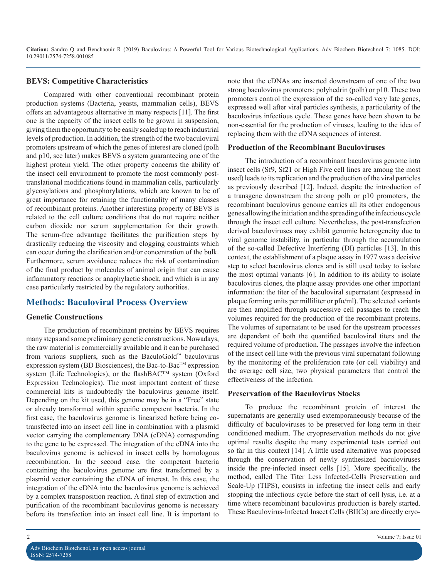#### **BEVS: Competitive Characteristics**

Compared with other conventional recombinant protein production systems (Bacteria, yeasts, mammalian cells), BEVS offers an advantageous alternative in many respects [11]. The first one is the capacity of the insect cells to be grown in suspension, giving them the opportunity to be easily scaled up to reach industrial levels of production. In addition, the strength of the two baculoviral promoters upstream of which the genes of interest are cloned (polh and p10, see later) makes BEVS a system guaranteeing one of the highest protein yield. The other property concerns the ability of the insect cell environment to promote the most commonly posttranslational modifications found in mammalian cells, particularly glycosylations and phosphorylations, which are known to be of great importance for retaining the functionality of many classes of recombinant proteins. Another interesting property of BEVS is related to the cell culture conditions that do not require neither carbon dioxide nor serum supplementation for their growth. The serum-free advantage facilitates the purification steps by drastically reducing the viscosity and clogging constraints which can occur during the clarification and/or concentration of the bulk. Furthermore, serum avoidance reduces the risk of contamination of the final product by molecules of animal origin that can cause inflammatory reactions or anaphylactic shock, and which is in any case particularly restricted by the regulatory authorities.

# **Methods: Baculoviral Process Overview**

## **Genetic Constructions**

The production of recombinant proteins by BEVS requires many steps and some preliminary genetic constructions. Nowadays, the raw material is commercially available and it can be purchased from various suppliers, such as the BaculoGold™ baculovirus expression system (BD Biosciences), the Bac-to-Bac™ expression system (Life Technologies), or the flashBAC™ system (Oxford Expression Technologies). The most important content of these commercial kits is undoubtedly the baculovirus genome itself. Depending on the kit used, this genome may be in a "Free" state or already transformed within specific competent bacteria. In the first case, the baculovirus genome is linearized before being cotransfected into an insect cell line in combination with a plasmid vector carrying the complementary DNA (cDNA) corresponding to the gene to be expressed. The integration of the cDNA into the baculovirus genome is achieved in insect cells by homologous recombination. In the second case, the competent bacteria containing the baculovirus genome are first transformed by a plasmid vector containing the cDNA of interest. In this case, the integration of the cDNA into the baculovirus genome is achieved by a complex transposition reaction. A final step of extraction and purification of the recombinant baculovirus genome is necessary before its transfection into an insect cell line. It is important to

note that the cDNAs are inserted downstream of one of the two strong baculovirus promoters: polyhedrin (polh) or p10. These two promoters control the expression of the so-called very late genes, expressed well after viral particles synthesis, a particularity of the baculovirus infectious cycle. These genes have been shown to be non-essential for the production of viruses, leading to the idea of replacing them with the cDNA sequences of interest.

#### **Production of the Recombinant Baculoviruses**

The introduction of a recombinant baculovirus genome into insect cells (Sf9, Sf21 or High Five cell lines are among the most used) leads to its replication and the production of the viral particles as previously described [12]. Indeed, despite the introduction of a transgene downstream the strong polh or p10 promoters, the recombinant baculovirus genome carries all its other endogenous genes allowing the initiation and the spreading of the infectious cycle through the insect cell culture. Nevertheless, the post-transfection derived baculoviruses may exhibit genomic heterogeneity due to viral genome instability, in particular through the accumulation of the so-called Defective Interfering (DI) particles [13]. In this context, the establishment of a plaque assay in 1977 was a decisive step to select baculovirus clones and is still used today to isolate the most optimal variants [6]. In addition to its ability to isolate baculovirus clones, the plaque assay provides one other important information: the titer of the baculoviral supernatant (expressed in plaque forming units per milliliter or pfu/ml). The selected variants are then amplified through successive cell passages to reach the volumes required for the production of the recombinant proteins. The volumes of supernatant to be used for the upstream processes are dependant of both the quantified baculoviral titers and the required volume of production. The passages involve the infection of the insect cell line with the previous viral supernatant following by the monitoring of the proliferation rate (or cell viability) and the average cell size, two physical parameters that control the effectiveness of the infection.

#### **Preservation of the Baculovirus Stocks**

To produce the recombinant protein of interest the supernatants are generally used extemporaneously because of the difficulty of baculoviruses to be preserved for long term in their conditioned medium. The cryopreservation methods do not give optimal results despite the many experimental tests carried out so far in this context [14]. A little used alternative was proposed through the conservation of newly synthesized baculoviruses inside the pre-infected insect cells [15]. More specifically, the method, called The Titer Less Infected-Cells Preservation and Scale-Up (TIPS), consists in infecting the insect cells and early stopping the infectious cycle before the start of cell lysis, i.e. at a time where recombinant baculovirus production is barely started. These Baculovirus-Infected Insect Cells (BIICs) are directly cryo-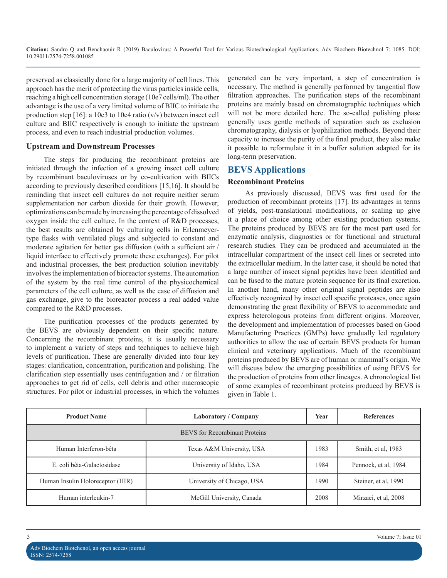preserved as classically done for a large majority of cell lines. This approach has the merit of protecting the virus particles inside cells, reaching a high cell concentration storage (10e7 cells/ml). The other advantage is the use of a very limited volume of BIIC to initiate the production step  $[16]$ : a 10e3 to 10e4 ratio  $(v/v)$  between insect cell culture and BIIC respectively is enough to initiate the upstream process, and even to reach industrial production volumes.

#### **Upstream and Downstream Processes**

The steps for producing the recombinant proteins are initiated through the infection of a growing insect cell culture by recombinant baculoviruses or by co-cultivation with BIICs according to previously described conditions [15,16]. It should be reminding that insect cell cultures do not require neither serum supplementation nor carbon dioxide for their growth. However, optimizations can be made by increasing the percentage of dissolved oxygen inside the cell culture. In the context of R&D processes, the best results are obtained by culturing cells in Erlenmeyertype flasks with ventilated plugs and subjected to constant and moderate agitation for better gas diffusion (with a sufficient air / liquid interface to effectively promote these exchanges). For pilot and industrial processes, the best production solution inevitably involves the implementation of bioreactor systems. The automation of the system by the real time control of the physicochemical parameters of the cell culture, as well as the ease of diffusion and gas exchange, give to the bioreactor process a real added value compared to the R&D processes.

The purification processes of the products generated by the BEVS are obviously dependent on their specific nature. Concerning the recombinant proteins, it is usually necessary to implement a variety of steps and techniques to achieve high levels of purification. These are generally divided into four key stages: clarification, concentration, purification and polishing. The clarification step essentially uses centrifugation and / or filtration approaches to get rid of cells, cell debris and other macroscopic structures. For pilot or industrial processes, in which the volumes generated can be very important, a step of concentration is necessary. The method is generally performed by tangential flow filtration approaches. The purification steps of the recombinant proteins are mainly based on chromatographic techniques which will not be more detailed here. The so-called polishing phase generally uses gentle methods of separation such as exclusion chromatography, dialysis or lyophilization methods. Beyond their capacity to increase the purity of the final product, they also make it possible to reformulate it in a buffer solution adapted for its long-term preservation.

## **BEVS Applications**

#### **Recombinant Proteins**

As previously discussed, BEVS was first used for the production of recombinant proteins [17]. Its advantages in terms of yields, post-translational modifications, or scaling up give it a place of choice among other existing production systems. The proteins produced by BEVS are for the most part used for enzymatic analysis, diagnostics or for functional and structural research studies. They can be produced and accumulated in the intracellular compartment of the insect cell lines or secreted into the extracellular medium. In the latter case, it should be noted that a large number of insect signal peptides have been identified and can be fused to the mature protein sequence for its final excretion. In another hand, many other original signal peptides are also effectively recognized by insect cell specific proteases, once again demonstrating the great flexibility of BEVS to accommodate and express heterologous proteins from different origins. Moreover, the development and implementation of processes based on Good Manufacturing Practices (GMPs) have gradually led regulatory authorities to allow the use of certain BEVS products for human clinical and veterinary applications. Much of the recombinant proteins produced by BEVS are of human or mammal's origin. We will discuss below the emerging possibilities of using BEVS for the production of proteins from other lineages. A chronological list of some examples of recombinant proteins produced by BEVS is given in Table 1.

| <b>Product Name</b>                  | Laboratory / Company       | Year | <b>References</b>    |  |  |
|--------------------------------------|----------------------------|------|----------------------|--|--|
| <b>BEVS</b> for Recombinant Proteins |                            |      |                      |  |  |
| Human Interferon-bêta                | Texas A&M University, USA  | 1983 | Smith, et al, 1983   |  |  |
| E. coli bêta-Galactosidase           | University of Idaho, USA   | 1984 | Pennock, et al. 1984 |  |  |
| Human Insulin Holoreceptor (HIR)     | University of Chicago, USA | 1990 | Steiner, et al, 1990 |  |  |
| Human interleukin-7                  | McGill University, Canada  | 2008 | Mirzaei, et al, 2008 |  |  |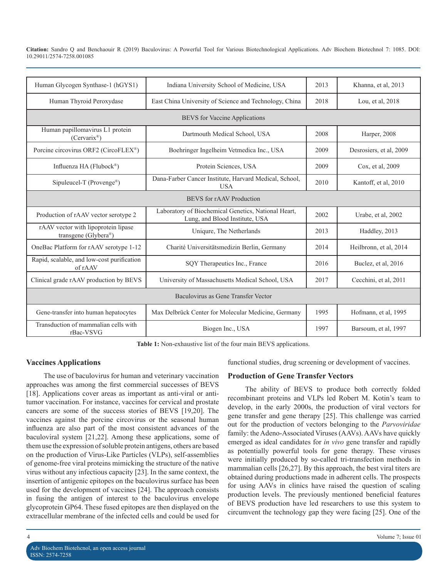| Human Glycogen Synthase-1 (hGYS1)                           | Indiana University School of Medicine, USA                                            | 2013 | Khanna, et al, 2013     |  |  |
|-------------------------------------------------------------|---------------------------------------------------------------------------------------|------|-------------------------|--|--|
| Human Thyroid Peroxydase                                    | East China University of Science and Technology, China                                | 2018 | Lou, et al, 2018        |  |  |
| <b>BEVS</b> for Vaccine Applications                        |                                                                                       |      |                         |  |  |
| Human papillomavirus L1 protein<br>$(Cervarix^{\circledR})$ | Dartmouth Medical School, USA                                                         | 2008 | Harper, 2008            |  |  |
| Porcine circovirus ORF2 (CircoFLEX®)                        | Boehringer Ingelheim Vetmedica Inc., USA                                              | 2009 | Desrosiers, et al, 2009 |  |  |
| Influenza HA (Flubock <sup>®</sup> )                        | Protein Sciences, USA                                                                 | 2009 | Cox, et al, 2009        |  |  |
| Sipuleucel-T (Provenge®)                                    | Dana-Farber Cancer Institute, Harvard Medical, School,<br><b>USA</b>                  | 2010 | Kantoff, et al, 2010    |  |  |
| BEVS for rAAV Production                                    |                                                                                       |      |                         |  |  |
| Production of rAAV vector serotype 2                        | Laboratory of Biochemical Genetics, National Heart,<br>Lung, and Blood Institute, USA | 2002 | Urabe, et al, 2002      |  |  |
| rAAV vector with lipoprotein lipase<br>transgene (Glybera®) | Uniqure, The Netherlands                                                              | 2013 | Haddley, 2013           |  |  |
| OneBac Platform for rAAV serotype 1-12                      | Charité Universitätsmedizin Berlin, Germany                                           | 2014 | Heilbronn, et al, 2014  |  |  |
| Rapid, scalable, and low-cost purification<br>of rAAV       | SQY Therapeutics Inc., France                                                         | 2016 | Buclez, et al, 2016     |  |  |
| Clinical grade rAAV production by BEVS                      | University of Massachusetts Medical School, USA                                       | 2017 | Cecchini, et al, 2011   |  |  |
| Baculovirus as Gene Transfer Vector                         |                                                                                       |      |                         |  |  |
| Gene-transfer into human hepatocytes                        | Max Delbrück Center for Molecular Medicine, Germany                                   | 1995 | Hofmann, et al, 1995    |  |  |
| Transduction of mammalian cells with<br>rBac-VSVG           | Biogen Inc., USA                                                                      | 1997 | Barsoum, et al, 1997    |  |  |

**Table 1:** Non-exhaustive list of the four main BEVS applications.

## **Vaccines Applications**

The use of baculovirus for human and veterinary vaccination approaches was among the first commercial successes of BEVS [18]. Applications cover areas as important as anti-viral or antitumor vaccination. For instance, vaccines for cervical and prostate cancers are some of the success stories of BEVS [19,20]. The vaccines against the porcine circovirus or the seasonal human influenza are also part of the most consistent advances of the baculoviral system [21,22]. Among these applications, some of them use the expression of soluble protein antigens, others are based on the production of Virus-Like Particles (VLPs), self-assemblies of genome-free viral proteins mimicking the structure of the native virus without any infectious capacity [23]. In the same context, the insertion of antigenic epitopes on the baculovirus surface has been used for the development of vaccines [24]. The approach consists in fusing the antigen of interest to the baculovirus envelope glycoprotein GP64. These fused epitopes are then displayed on the extracellular membrane of the infected cells and could be used for

functional studies, drug screening or development of vaccines.

## **Production of Gene Transfer Vectors**

The ability of BEVS to produce both correctly folded recombinant proteins and VLPs led Robert M. Kotin's team to develop, in the early 2000s, the production of viral vectors for gene transfer and gene therapy [25]. This challenge was carried out for the production of vectors belonging to the *Parvoviridae* family: the Adeno-Associated Viruses (AAVs). AAVs have quickly emerged as ideal candidates for *in vivo* gene transfer and rapidly as potentially powerful tools for gene therapy. These viruses were initially produced by so-called tri-transfection methods in mammalian cells [26,27]. By this approach, the best viral titers are obtained during productions made in adherent cells. The prospects for using AAVs in clinics have raised the question of scaling production levels. The previously mentioned beneficial features of BEVS production have led researchers to use this system to circumvent the technology gap they were facing [25]. One of the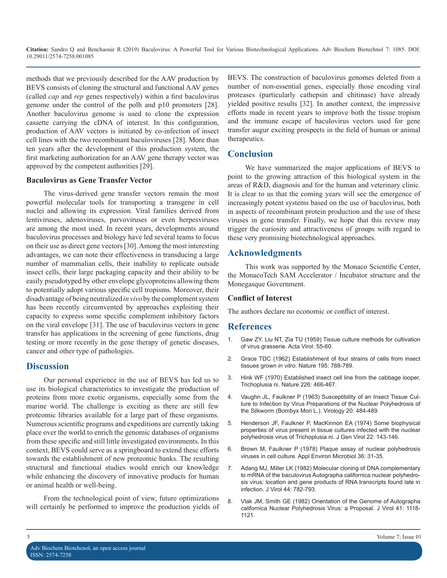methods that we previously described for the AAV production by BEVS consists of cloning the structural and functional AAV genes (called *cap* and *rep* genes respectively) within a first baculovirus genome under the control of the polh and p10 promoters [28]. Another baculovirus genome is used to clone the expression cassette carrying the cDNA of interest. In this configuration, production of AAV vectors is initiated by co-infection of insect cell lines with the two recombinant baculoviruses [28]. More than ten years after the development of this production system, the first marketing authorization for an AAV gene therapy vector was approved by the competent authorities [29].

#### **Baculovirus as Gene Transfer Vector**

The virus-derived gene transfer vectors remain the most powerful molecular tools for transporting a transgene in cell nuclei and allowing its expression. Viral families derived from lentiviruses, adenoviruses, parvoviruses or even herpesviruses are among the most used. In recent years, developments around baculovirus processes and biology have led several teams to focus on their use as direct gene vectors [30]. Among the most interesting advantages, we can note their effectiveness in transducing a large number of mammalian cells, their inability to replicate outside insect cells, their large packaging capacity and their ability to be easily pseudotyped by other envelope glycoproteins allowing them to potentially adopt various specific cell tropisms. Moreover, their disadvantage of being neutralized *in vivo* by the complement system has been recently circumvented by approaches exploiting their capacity to express some specific complement inhibitory factors on the viral envelope [31]. The use of baculovirus vectors in gene transfer has applications in the screening of gene functions, drug [testing or more recently in the gene therapy of genetic diseases,](https://www.ncbi.nlm.nih.gov/pubmed/13849914)  cancer and other type of pathologies.

## **Discussion**

Our personal experience in the use of BEVS has led us to [use its biological characteristics to investigate the production of](https://www.nature.com/articles/226466b0)  proteins from more exotic organisms, especially some from the marine world. The challenge is exciting as there are still few proteomic libraries available for a large part of these organisms. Numerous scientific programs and expeditions are currently taking place over the world to enrich the genomic databases of organisms from these specific and still little investigated environments. In this context, BEVS could serve as a springboard to extend these efforts towards the establishment of new proteomic banks. The resulting structural and functional studies would enrich our knowledge [while enhancing the discovery of innovative products for human](https://www.ncbi.nlm.nih.gov/pmc/articles/PMC256335/)  or animal health or well-being.

From the technological point of view, future optimizations [will certainly be performed to improve the production yields of](https://www.ncbi.nlm.nih.gov/pubmed/16789218)  BEVS. The construction of baculovirus genomes deleted from a number of non-essential genes, especially those encoding viral proteases (particularly cathepsin and chitinase) have already yielded positive results [32]. In another context, the impressive efforts made in recent years to improve both the tissue tropism and the immune escape of baculovirus vectors used for gene transfer augur exciting prospects in the field of human or animal therapeutics.

# **Conclusion**

We have summarized the major applications of BEVS to point to the growing attraction of this biological system in the areas of R&D, diagnosis and for the human and veterinary clinic. It is clear to us that the coming years will see the emergence of increasingly potent systems based on the use of baculovirus, both in aspects of recombinant protein production and the use of these viruses in gene transfer. Finally, we hope that this review may trigger the curiosity and attractiveness of groups with regard to these very promising biotechnological approaches.

# **Acknowledgments**

This work was supported by the Monaco Scientific Center, the MonacoTech SAM Accelerator / Incubator structure and the Monegasque Government.

## **Conflict of Interest**

The authors declare no economic or conflict of interest.

## **References**

- 1. [Gaw ZY, Liu NT, Zia TU \(1959\) Tissue culture methods for cultivation](https://www.ncbi.nlm.nih.gov/pubmed/13849914)  of virus grasserie. Acta Virol: 55-60.
- 2. [Grace TDC \(1962\) Establishment of four strains of cells from insect](https://www.nature.com/articles/195788a0)  tissues grown *in vitro*[. Nature 195: 788-789.](https://www.nature.com/articles/195788a0)
- 3. [Hink WF \(1970\) Established insect cell line from the cabbage looper,](https://www.nature.com/articles/226466b0)  Trichoplusia ni. Nature 226: 466-467.
- 4. [Vaughn JL, Faulkner P \(1963\) Susceptibility of an Insect Tissue Cul](https://www.sciencedirect.com/science/article/abs/pii/0042682263900989)[ture to Infection by Virus Preparations of the Nuclear Polyhedrosis of](https://www.sciencedirect.com/science/article/abs/pii/0042682263900989) [the Silkworm \(Bombyx Mori L.\). Virology 20: 484-489](https://www.sciencedirect.com/science/article/abs/pii/0042682263900989).
- 5. [Henderson JF, Faulkner P, MacKinnon EA \(1974\) Some biophysical](https://www.ncbi.nlm.nih.gov/pubmed/4617765)  [properties of virus present in tissue cultures infected with the nuclear](https://www.ncbi.nlm.nih.gov/pubmed/4617765)  [polyhedrosis virus of Trichoplusia ni. J Gen Virol 22: 143-146](https://www.ncbi.nlm.nih.gov/pubmed/4617765).
- 6. [Brown M, Faulkner P \(1978\) Plaque assay of nuclear polyhedrosis](https://www.ncbi.nlm.nih.gov/pmc/articles/PMC243029/)  [viruses in cell culture. Appl Environ Microbiol 36: 31-35.](https://www.ncbi.nlm.nih.gov/pmc/articles/PMC243029/)
- 7. [Adang MJ, Miller LK \(1982\) Molecular cloning of DNA complementary](https://www.ncbi.nlm.nih.gov/pmc/articles/PMC256335/)  to mRNA of the baculovirus Autographa californica nuclear polyhedro[sis virus: location and gene products of RNA transcripts found late in](https://www.ncbi.nlm.nih.gov/pmc/articles/PMC256335/)  [infection. J Virol 44: 782-793](https://www.ncbi.nlm.nih.gov/pmc/articles/PMC256335/).
- 8. [Vlak JM, Smith GE \(1982\) Orientation of the Genome of Autographa](https://www.ncbi.nlm.nih.gov/pubmed/16789218)  californica Nuclear Polyhedrosis Virus: a Proposal. J Virol 41: 1118- [1121](https://www.ncbi.nlm.nih.gov/pubmed/16789218).